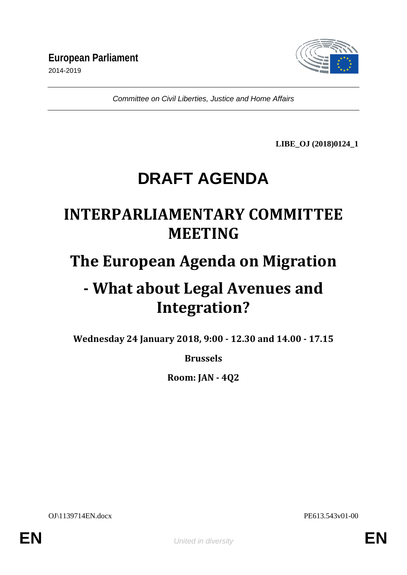

*Committee on Civil Liberties, Justice and Home Affairs*

**LIBE\_OJ (2018)0124\_1**

# **DRAFT AGENDA**

# **INTERPARLIAMENTARY COMMITTEE MEETING**

# **The European Agenda on Migration**

# **- What about Legal Avenues and Integration?**

**Wednesday 24 January 2018, 9:00 - 12.30 and 14.00 - 17.15**

### **Brussels**

**Room: JAN - 4Q2** 

OJ\1139714EN.docx PE613.543v01-00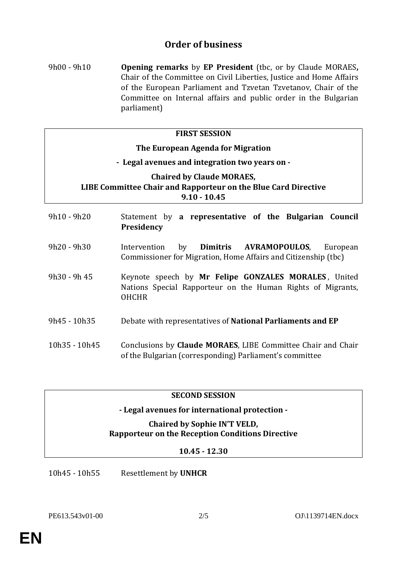### **Order of business**

9h00 - 9h10 **Opening remarks** by **EP President** (tbc, or by Claude MORAES**,**  Chair of the Committee on Civil Liberties, Justice and Home Affairs of the European Parliament and Tzvetan Tzvetanov, Chair of the Committee on Internal affairs and public order in the Bulgarian parliament)

#### **FIRST SESSION**

### **The European Agenda for Migration - Legal avenues and integration two years on - Chaired by Claude MORAES, LIBE Committee Chair and Rapporteur on the Blue Card Directive 9.10 - 10.45**

- 9h10 9h20 Statement by **a representative of the Bulgarian Council Presidency** 9h20 - 9h30 Intervention by **Dimitris AVRAMOPOULOS**, European Commissioner for Migration, Home Affairs and Citizenship (tbc) 9h30 - 9h 45 Keynote speech by **Mr Felipe GONZALES MORALES** , United
- Nations Special Rapporteur on the Human Rights of Migrants, OHCHR
- 9h45 10h35 Debate with representatives of **National Parliaments and EP**
- 10h35 10h45 Conclusions by **Claude MORAES**, LIBE Committee Chair and Chair of the Bulgarian (corresponding) Parliament's committee

#### **SECOND SESSION**

#### **- Legal avenues for international protection -**

#### **Chaired by Sophie IN'T VELD, Rapporteur on the Reception Conditions Directive**

#### **10.45 - 12.30**

10h45 - 10h55 Resettlement by **UNHCR**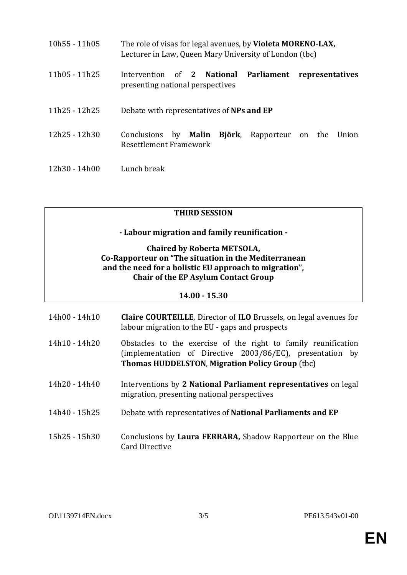| $10h55 - 11h05$ | The role of visas for legal avenues, by Violeta MORENO-LAX,<br>Lecturer in Law, Queen Mary University of London (tbc) |  |
|-----------------|-----------------------------------------------------------------------------------------------------------------------|--|
| 11h05 - 11h25   | Intervention of 2 National Parliament<br>representatives<br>presenting national perspectives                          |  |
| 11h25 - 12h25   | Debate with representatives of NPs and EP                                                                             |  |
| 12h25 - 12h30   | Björk,<br>Conclusions by <b>Malin</b><br>Rapporteur on the Union<br>Resettlement Framework                            |  |
| 12h30 - 14h00   | Lunch break                                                                                                           |  |

#### **THIRD SESSION**

**- Labour migration and family reunification -**

#### **Chaired by Roberta METSOLA, Co-Rapporteur on "The situation in the Mediterranean and the need for a holistic EU approach to migration", Chair of the EP Asylum Contact Group**

#### **14.00 - 15.30**

| 14h00 - 14h10 | <b>Claire COURTEILLE, Director of ILO Brussels, on legal avenues for</b><br>labour migration to the EU - gaps and prospects                                                           |
|---------------|---------------------------------------------------------------------------------------------------------------------------------------------------------------------------------------|
| 14h10 - 14h20 | Obstacles to the exercise of the right to family reunification<br>(implementation of Directive 2003/86/EC), presentation by<br><b>Thomas HUDDELSTON, Migration Policy Group (tbc)</b> |
| 14h20 - 14h40 | Interventions by 2 National Parliament representatives on legal<br>migration, presenting national perspectives                                                                        |
| 14h40 - 15h25 | Debate with representatives of <b>National Parliaments and EP</b>                                                                                                                     |
| 15h25 - 15h30 | Conclusions by Laura FERRARA, Shadow Rapporteur on the Blue<br>Card Directive                                                                                                         |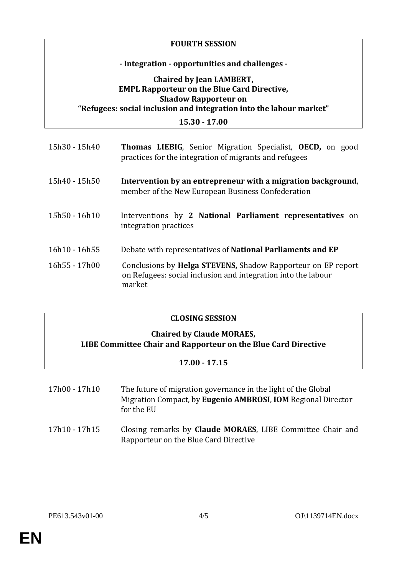#### **FOURTH SESSION**

#### **- Integration - opportunities and challenges -**

#### **Chaired by Jean LAMBERT, EMPL Rapporteur on the Blue Card Directive, Shadow Rapporteur on "Refugees: social inclusion and integration into the labour market"**

**15.30 - 17.00**

| 15h30 - 15h40 | <b>Thomas LIEBIG</b> , Senior Migration Specialist, <b>OECD</b> , on good<br>practices for the integration of migrants and refugees             |
|---------------|-------------------------------------------------------------------------------------------------------------------------------------------------|
| 15h40 - 15h50 | Intervention by an entrepreneur with a migration background,<br>member of the New European Business Confederation                               |
| 15h50 - 16h10 | Interventions by 2 National Parliament representatives on<br>integration practices                                                              |
| 16h10 - 16h55 | Debate with representatives of <b>National Parliaments and EP</b>                                                                               |
| 16h55 - 17h00 | Conclusions by <b>Helga STEVENS</b> , Shadow Rapporteur on EP report<br>on Refugees: social inclusion and integration into the labour<br>market |

### **CLOSING SESSION**

#### **Chaired by Claude MORAES, LIBE Committee Chair and Rapporteur on the Blue Card Directive**

#### **17.00 - 17.15**

| 17h00 - 17h10 | The future of migration governance in the light of the Global |  |
|---------------|---------------------------------------------------------------|--|
|               | Migration Compact, by Eugenio AMBROSI, IOM Regional Director  |  |
|               | for the EU                                                    |  |

17h10 - 17h15 Closing remarks by **Claude MORAES**, LIBE Committee Chair and Rapporteur on the Blue Card Directive